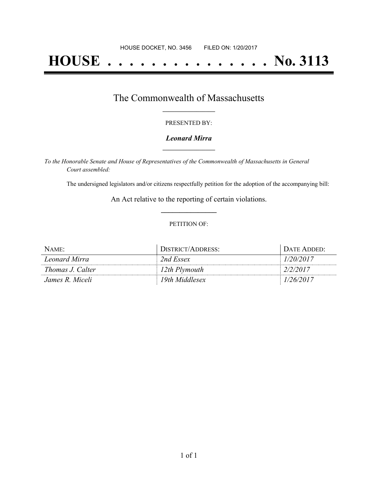# **HOUSE . . . . . . . . . . . . . . . No. 3113**

### The Commonwealth of Massachusetts **\_\_\_\_\_\_\_\_\_\_\_\_\_\_\_\_\_**

#### PRESENTED BY:

#### *Leonard Mirra* **\_\_\_\_\_\_\_\_\_\_\_\_\_\_\_\_\_**

*To the Honorable Senate and House of Representatives of the Commonwealth of Massachusetts in General Court assembled:*

The undersigned legislators and/or citizens respectfully petition for the adoption of the accompanying bill:

An Act relative to the reporting of certain violations. **\_\_\_\_\_\_\_\_\_\_\_\_\_\_\_**

#### PETITION OF:

| NAME:                   | DISTRICT/ADDRESS: | DATE ADDED: |
|-------------------------|-------------------|-------------|
| Leonard Mirra           | 2nd Essex         | 1/20/2017   |
| <i>Thomas J. Calter</i> | 12th Plymouth     | 2/2/2017    |
| James R. Miceli         | 19th Middlesex    | 1/26/2017   |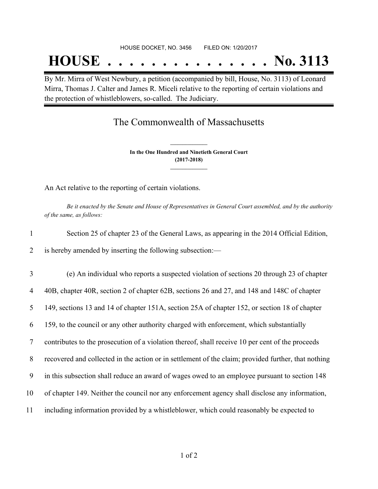## **HOUSE . . . . . . . . . . . . . . . No. 3113**

By Mr. Mirra of West Newbury, a petition (accompanied by bill, House, No. 3113) of Leonard Mirra, Thomas J. Calter and James R. Miceli relative to the reporting of certain violations and the protection of whistleblowers, so-called. The Judiciary.

## The Commonwealth of Massachusetts

**In the One Hundred and Ninetieth General Court (2017-2018) \_\_\_\_\_\_\_\_\_\_\_\_\_\_\_**

**\_\_\_\_\_\_\_\_\_\_\_\_\_\_\_**

An Act relative to the reporting of certain violations.

Be it enacted by the Senate and House of Representatives in General Court assembled, and by the authority *of the same, as follows:*

|                | Section 25 of chapter 23 of the General Laws, as appearing in the 2014 Official Edition,      |
|----------------|-----------------------------------------------------------------------------------------------|
| $\overline{2}$ | is hereby amended by inserting the following subsection:—                                     |
| 3              | (e) An individual who reports a suspected violation of sections 20 through 23 of chapter      |
| 4              | 40B, chapter 40R, section 2 of chapter 62B, sections 26 and 27, and 148 and 148C of chapter   |
| 5              | 149, sections 13 and 14 of chapter 151A, section 25A of chapter 152, or section 18 of chapter |

6 159, to the council or any other authority charged with enforcement, which substantially

7 contributes to the prosecution of a violation thereof, shall receive 10 per cent of the proceeds

8 recovered and collected in the action or in settlement of the claim; provided further, that nothing

9 in this subsection shall reduce an award of wages owed to an employee pursuant to section 148

- 10 of chapter 149. Neither the council nor any enforcement agency shall disclose any information,
- 11 including information provided by a whistleblower, which could reasonably be expected to